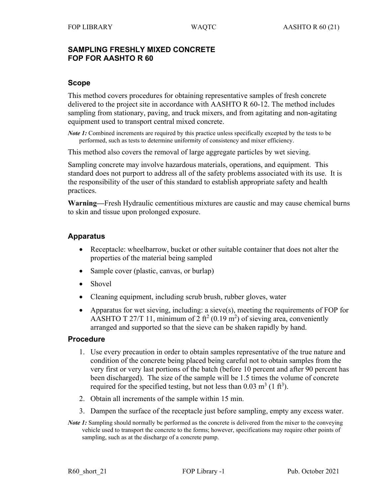## **SAMPLING FRESHLY MIXED CONCRETE FOP FOR AASHTO R 60**

## **Scope**

This method covers procedures for obtaining representative samples of fresh concrete delivered to the project site in accordance with AASHTO R 60-12. The method includes sampling from stationary, paving, and truck mixers, and from agitating and non-agitating equipment used to transport central mixed concrete.

*Note 1*: Combined increments are required by this practice unless specifically excepted by the tests to be performed, such as tests to determine uniformity of consistency and mixer efficiency.

This method also covers the removal of large aggregate particles by wet sieving.

Sampling concrete may involve hazardous materials, operations, and equipment. This standard does not purport to address all of the safety problems associated with its use. It is the responsibility of the user of this standard to establish appropriate safety and health practices.

**Warning—**Fresh Hydraulic cementitious mixtures are caustic and may cause chemical burns to skin and tissue upon prolonged exposure.

## **Apparatus**

- Receptacle: wheelbarrow, bucket or other suitable container that does not alter the properties of the material being sampled
- Sample cover (plastic, canvas, or burlap)
- Shovel
- Cleaning equipment, including scrub brush, rubber gloves, water
- Apparatus for wet sieving, including: a sieve(s), meeting the requirements of FOP for AASHTO T 27/T 11, minimum of 2 ft<sup>2</sup> (0.19 m<sup>2</sup>) of sieving area, conveniently arranged and supported so that the sieve can be shaken rapidly by hand.

### **Procedure**

- 1. Use every precaution in order to obtain samples representative of the true nature and condition of the concrete being placed being careful not to obtain samples from the very first or very last portions of the batch (before 10 percent and after 90 percent has been discharged). The size of the sample will be 1.5 times the volume of concrete required for the specified testing, but not less than  $0.03 \text{ m}^3$  (1 ft<sup>3</sup>).
- 2. Obtain all increments of the sample within 15 min.
- 3. Dampen the surface of the receptacle just before sampling, empty any excess water.
- *Note 1*: Sampling should normally be performed as the concrete is delivered from the mixer to the conveying vehicle used to transport the concrete to the forms; however, specifications may require other points of sampling, such as at the discharge of a concrete pump.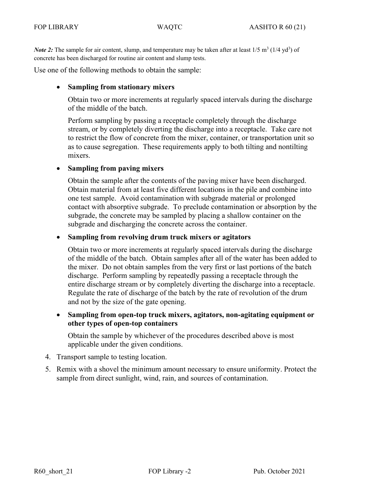*Note 2*: The sample for air content, slump, and temperature may be taken after at least 1/5 m<sup>3</sup> (1/4 yd<sup>3</sup>) of concrete has been discharged for routine air content and slump tests.

Use one of the following methods to obtain the sample:

### • **Sampling from stationary mixers**

Obtain two or more increments at regularly spaced intervals during the discharge of the middle of the batch.

Perform sampling by passing a receptacle completely through the discharge stream, or by completely diverting the discharge into a receptacle. Take care not to restrict the flow of concrete from the mixer, container, or transportation unit so as to cause segregation. These requirements apply to both tilting and nontilting mixers.

### • **Sampling from paving mixers**

Obtain the sample after the contents of the paving mixer have been discharged. Obtain material from at least five different locations in the pile and combine into one test sample. Avoid contamination with subgrade material or prolonged contact with absorptive subgrade. To preclude contamination or absorption by the subgrade, the concrete may be sampled by placing a shallow container on the subgrade and discharging the concrete across the container.

#### • **Sampling from revolving drum truck mixers or agitators**

Obtain two or more increments at regularly spaced intervals during the discharge of the middle of the batch. Obtain samples after all of the water has been added to the mixer. Do not obtain samples from the very first or last portions of the batch discharge. Perform sampling by repeatedly passing a receptacle through the entire discharge stream or by completely diverting the discharge into a receptacle. Regulate the rate of discharge of the batch by the rate of revolution of the drum and not by the size of the gate opening.

• **Sampling from open-top truck mixers, agitators, non-agitating equipment or other types of open-top containers**

Obtain the sample by whichever of the procedures described above is most applicable under the given conditions.

- 4. Transport sample to testing location.
- 5. Remix with a shovel the minimum amount necessary to ensure uniformity. Protect the sample from direct sunlight, wind, rain, and sources of contamination.